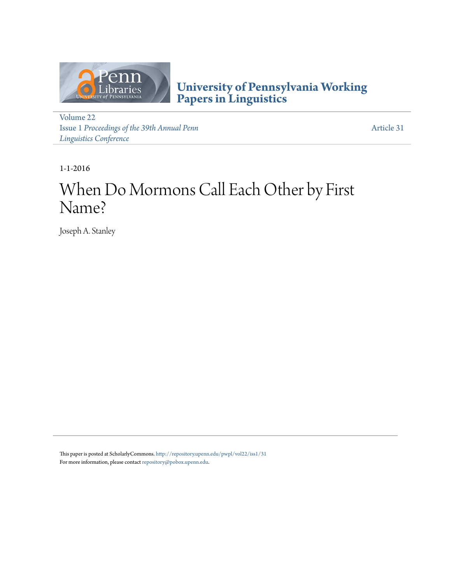

**[University of Pennsylvania Working](http://repository.upenn.edu/pwpl) [Papers in Linguistics](http://repository.upenn.edu/pwpl)**

[Volume 22](http://repository.upenn.edu/pwpl/vol22) Issue 1 *[Proceedings of the 39th Annual Penn](http://repository.upenn.edu/pwpl/vol22/iss1) [Linguistics Conference](http://repository.upenn.edu/pwpl/vol22/iss1)*

[Article 31](http://repository.upenn.edu/pwpl/vol22/iss1/31)

1-1-2016

# When Do Mormons Call Each Other by First Name?

Joseph A. Stanley

This paper is posted at ScholarlyCommons. <http://repository.upenn.edu/pwpl/vol22/iss1/31> For more information, please contact  $\mathrm{repository}(\varnothing \mathrm{pobox.}upenn.edu.$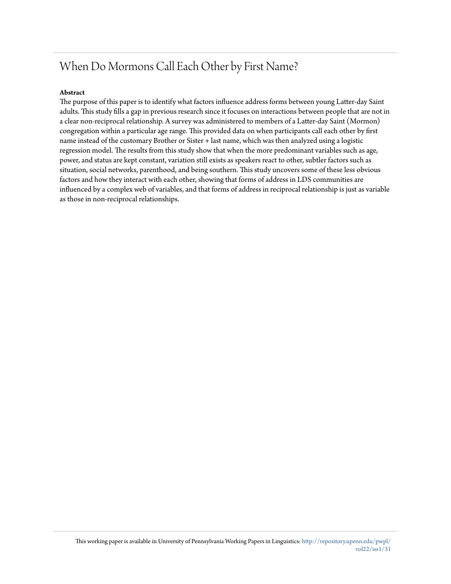# When Do Mormons Call Each Other by First Name?

# **Abstract**

The purpose of this paper is to identify what factors influence address forms between young Latter-day Saint adults. This study fills a gap in previous research since it focuses on interactions between people that are not in a clear non-reciprocal relationship. A survey was administered to members of a Latter-day Saint (Mormon) congregation within a particular age range. This provided data on when participants call each other by first name instead of the customary Brother or Sister + last name, which was then analyzed using a logistic regression model. The results from this study show that when the more predominant variables such as age, power, and status are kept constant, variation still exists as speakers react to other, subtler factors such as situation, social networks, parenthood, and being southern. This study uncovers some of these less obvious factors and how they interact with each other, showing that forms of address in LDS communities are influenced by a complex web of variables, and that forms of address in reciprocal relationship is just as variable as those in non-reciprocal relationships.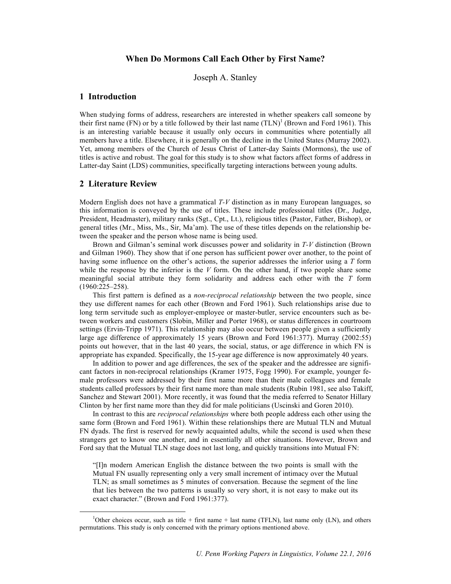# **When Do Mormons Call Each Other by First Name?**

Joseph A. Stanley

# **1 Introduction**

When studying forms of address, researchers are interested in whether speakers call someone by their first name (FN) or by a title followed by their last name  $(TLN)^1$  (Brown and Ford 1961). This is an interesting variable because it usually only occurs in communities where potentially all members have a title. Elsewhere, it is generally on the decline in the United States (Murray 2002). Yet, among members of the Church of Jesus Christ of Latter-day Saints (Mormons), the use of titles is active and robust. The goal for this study is to show what factors affect forms of address in Latter-day Saint (LDS) communities, specifically targeting interactions between young adults.

# **2 Literature Review**

Modern English does not have a grammatical *T-V* distinction as in many European languages, so this information is conveyed by the use of titles. These include professional titles (Dr., Judge, President, Headmaster), military ranks (Sgt., Cpt., Lt.), religious titles (Pastor, Father, Bishop), or general titles (Mr., Miss, Ms., Sir, Ma'am). The use of these titles depends on the relationship between the speaker and the person whose name is being used.

Brown and Gilman's seminal work discusses power and solidarity in *T-V* distinction (Brown and Gilman 1960). They show that if one person has sufficient power over another, to the point of having some influence on the other's actions, the superior addresses the inferior using a *T* form while the response by the inferior is the  $V$  form. On the other hand, if two people share some meaningful social attribute they form solidarity and address each other with the *T* form (1960:225–258).

This first pattern is defined as a *non-reciprocal relationship* between the two people, since they use different names for each other (Brown and Ford 1961). Such relationships arise due to long term servitude such as employer-employee or master-butler, service encounters such as between workers and customers (Slobin, Miller and Porter 1968), or status differences in courtroom settings (Ervin-Tripp 1971). This relationship may also occur between people given a sufficiently large age difference of approximately 15 years (Brown and Ford 1961:377). Murray (2002:55) points out however, that in the last 40 years, the social, status, or age difference in which FN is appropriate has expanded. Specifically, the 15-year age difference is now approximately 40 years.

In addition to power and age differences, the sex of the speaker and the addressee are significant factors in non-reciprocal relationships (Kramer 1975, Fogg 1990). For example, younger female professors were addressed by their first name more than their male colleagues and female students called professors by their first name more than male students (Rubin 1981, see also Takiff, Sanchez and Stewart 2001). More recently, it was found that the media referred to Senator Hillary Clinton by her first name more than they did for male politicians (Uscinski and Goren 2010).

In contrast to this are *reciprocal relationships* where both people address each other using the same form (Brown and Ford 1961). Within these relationships there are Mutual TLN and Mutual FN dyads. The first is reserved for newly acquainted adults, while the second is used when these strangers get to know one another, and in essentially all other situations. However, Brown and Ford say that the Mutual TLN stage does not last long, and quickly transitions into Mutual FN:

"[I]n modern American English the distance between the two points is small with the Mutual FN usually representing only a very small increment of intimacy over the Mutual TLN; as small sometimes as 5 minutes of conversation. Because the segment of the line that lies between the two patterns is usually so very short, it is not easy to make out its exact character." (Brown and Ford 1961:377).

 <sup>1</sup> <sup>1</sup>Other choices occur, such as title + first name + last name (TFLN), last name only (LN), and others permutations. This study is only concerned with the primary options mentioned above.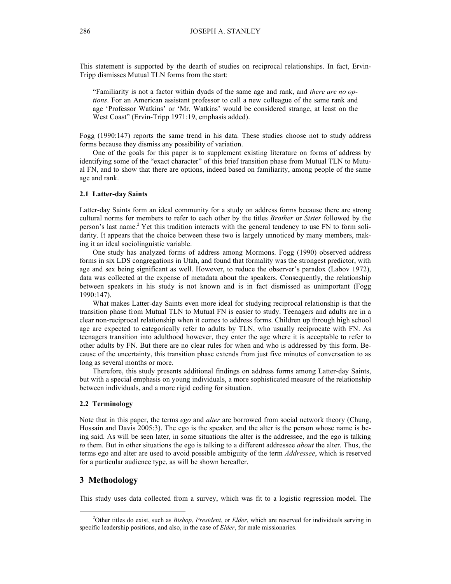This statement is supported by the dearth of studies on reciprocal relationships. In fact, Ervin-Tripp dismisses Mutual TLN forms from the start:

"Familiarity is not a factor within dyads of the same age and rank, and *there are no options*. For an American assistant professor to call a new colleague of the same rank and age 'Professor Watkins' or 'Mr. Watkins' would be considered strange, at least on the West Coast" (Ervin-Tripp 1971:19, emphasis added).

Fogg (1990:147) reports the same trend in his data. These studies choose not to study address forms because they dismiss any possibility of variation.

One of the goals for this paper is to supplement existing literature on forms of address by identifying some of the "exact character" of this brief transition phase from Mutual TLN to Mutual FN, and to show that there are options, indeed based on familiarity, among people of the same age and rank.

#### **2.1 Latter-day Saints**

Latter-day Saints form an ideal community for a study on address forms because there are strong cultural norms for members to refer to each other by the titles *Brother* or *Sister* followed by the person's last name. <sup>2</sup> Yet this tradition interacts with the general tendency to use FN to form solidarity. It appears that the choice between these two is largely unnoticed by many members, making it an ideal sociolinguistic variable.

One study has analyzed forms of address among Mormons. Fogg (1990) observed address forms in six LDS congregations in Utah, and found that formality was the strongest predictor, with age and sex being significant as well. However, to reduce the observer's paradox (Labov 1972), data was collected at the expense of metadata about the speakers. Consequently, the relationship between speakers in his study is not known and is in fact dismissed as unimportant (Fogg 1990:147).

What makes Latter-day Saints even more ideal for studying reciprocal relationship is that the transition phase from Mutual TLN to Mutual FN is easier to study. Teenagers and adults are in a clear non-reciprocal relationship when it comes to address forms. Children up through high school age are expected to categorically refer to adults by TLN, who usually reciprocate with FN. As teenagers transition into adulthood however, they enter the age where it is acceptable to refer to other adults by FN. But there are no clear rules for when and who is addressed by this form. Because of the uncertainty, this transition phase extends from just five minutes of conversation to as long as several months or more.

Therefore, this study presents additional findings on address forms among Latter-day Saints, but with a special emphasis on young individuals, a more sophisticated measure of the relationship between individuals, and a more rigid coding for situation.

#### **2.2 Terminology**

Note that in this paper, the terms *ego* and *alter* are borrowed from social network theory (Chung, Hossain and Davis 2005:3). The ego is the speaker, and the alter is the person whose name is being said. As will be seen later, in some situations the alter is the addressee, and the ego is talking *to* them. But in other situations the ego is talking to a different addressee *about* the alter. Thus, the terms ego and alter are used to avoid possible ambiguity of the term *Addressee*, which is reserved for a particular audience type, as will be shown hereafter.

# **3 Methodology**

This study uses data collected from a survey, which was fit to a logistic regression model. The

 <sup>2</sup> <sup>2</sup>Other titles do exist, such as *Bishop*, *President*, or *Elder*, which are reserved for individuals serving in specific leadership positions, and also, in the case of *Elder*, for male missionaries.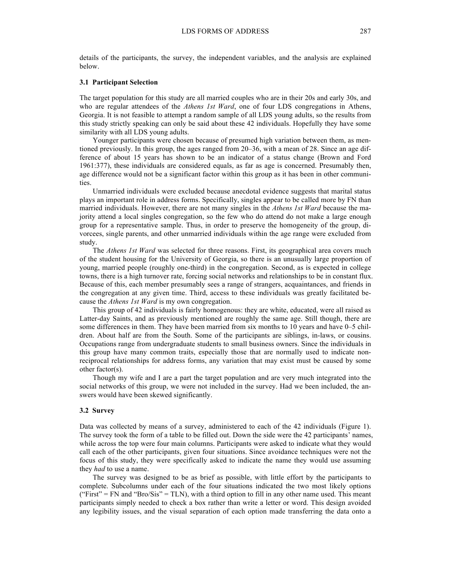details of the participants, the survey, the independent variables, and the analysis are explained below.

#### **3.1 Participant Selection**

The target population for this study are all married couples who are in their 20s and early 30s, and who are regular attendees of the *Athens 1st Ward*, one of four LDS congregations in Athens, Georgia. It is not feasible to attempt a random sample of all LDS young adults, so the results from this study strictly speaking can only be said about these 42 individuals. Hopefully they have some similarity with all LDS young adults.

Younger participants were chosen because of presumed high variation between them, as mentioned previously. In this group, the ages ranged from 20–36, with a mean of 28. Since an age difference of about 15 years has shown to be an indicator of a status change (Brown and Ford 1961:377), these individuals are considered equals, as far as age is concerned. Presumably then, age difference would not be a significant factor within this group as it has been in other communities.

Unmarried individuals were excluded because anecdotal evidence suggests that marital status plays an important role in address forms. Specifically, singles appear to be called more by FN than married individuals. However, there are not many singles in the *Athens 1st Ward* because the majority attend a local singles congregation, so the few who do attend do not make a large enough group for a representative sample. Thus, in order to preserve the homogeneity of the group, divorcees, single parents, and other unmarried individuals within the age range were excluded from study.

The *Athens 1st Ward* was selected for three reasons. First, its geographical area covers much of the student housing for the University of Georgia, so there is an unusually large proportion of young, married people (roughly one-third) in the congregation. Second, as is expected in college towns, there is a high turnover rate, forcing social networks and relationships to be in constant flux. Because of this, each member presumably sees a range of strangers, acquaintances, and friends in the congregation at any given time. Third, access to these individuals was greatly facilitated because the *Athens 1st Ward* is my own congregation.

This group of 42 individuals is fairly homogenous: they are white, educated, were all raised as Latter-day Saints, and as previously mentioned are roughly the same age. Still though, there are some differences in them. They have been married from six months to 10 years and have 0–5 children. About half are from the South. Some of the participants are siblings, in-laws, or cousins. Occupations range from undergraduate students to small business owners. Since the individuals in this group have many common traits, especially those that are normally used to indicate nonreciprocal relationships for address forms, any variation that may exist must be caused by some other factor(s).

Though my wife and I are a part the target population and are very much integrated into the social networks of this group, we were not included in the survey. Had we been included, the answers would have been skewed significantly.

#### **3.2 Survey**

Data was collected by means of a survey, administered to each of the 42 individuals (Figure 1). The survey took the form of a table to be filled out. Down the side were the 42 participants' names, while across the top were four main columns. Participants were asked to indicate what they would call each of the other participants, given four situations. Since avoidance techniques were not the focus of this study, they were specifically asked to indicate the name they would use assuming they *had* to use a name.

The survey was designed to be as brief as possible, with little effort by the participants to complete. Subcolumns under each of the four situations indicated the two most likely options  $("First" = FN and "Bro/Sis" = TLN)$ , with a third option to fill in any other name used. This meant participants simply needed to check a box rather than write a letter or word. This design avoided any legibility issues, and the visual separation of each option made transferring the data onto a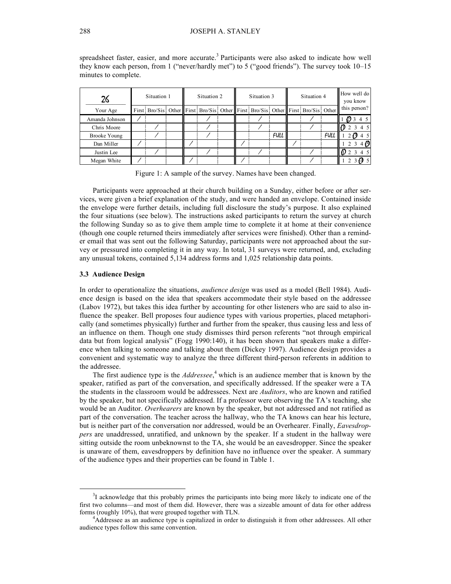| 26                  | Situation 1 |  |  | Situation 2 |                                                                                         |  | Situation 3 |  |             | Situation 4 |  |             | How well do<br>you know |
|---------------------|-------------|--|--|-------------|-----------------------------------------------------------------------------------------|--|-------------|--|-------------|-------------|--|-------------|-------------------------|
| Your Age            |             |  |  |             | First: Bro/Sis: Other First: Bro/Sis: Other First: Bro/Sis: Other First: Bro/Sis: Other |  |             |  |             |             |  |             | this person?            |
| Amanda Johnson      |             |  |  |             |                                                                                         |  |             |  |             |             |  |             | 22345                   |
| Chris Moore         |             |  |  |             |                                                                                         |  |             |  |             |             |  |             | $\mathbf{D}$ 2          |
| <b>Brooke Young</b> |             |  |  |             |                                                                                         |  |             |  | <b>FULL</b> |             |  | <b>FULL</b> | -63                     |
| Dan Miller          |             |  |  |             |                                                                                         |  |             |  |             |             |  |             |                         |
| Justin Lee          |             |  |  |             |                                                                                         |  |             |  |             |             |  |             |                         |
| Megan White         |             |  |  |             |                                                                                         |  |             |  |             |             |  |             |                         |

spreadsheet faster, easier, and more accurate.<sup>3</sup> Participants were also asked to indicate how well they know each person, from 1 ("never/hardly met") to 5 ("good friends"). The survey took 10–15 minutes to complete.

Figure 1: A sample of the survey. Names have been changed.

Participants were approached at their church building on a Sunday, either before or after services, were given a brief explanation of the study, and were handed an envelope. Contained inside the envelope were further details, including full disclosure the study's purpose. It also explained the four situations (see below). The instructions asked participants to return the survey at church the following Sunday so as to give them ample time to complete it at home at their convenience (though one couple returned theirs immediately after services were finished). Other than a reminder email that was sent out the following Saturday, participants were not approached about the survey or pressured into completing it in any way. In total, 31 surveys were returned, and, excluding any unusual tokens, contained 5,134 address forms and 1,025 relationship data points.

#### **3.3 Audience Design**

In order to operationalize the situations, *audience design* was used as a model (Bell 1984). Audience design is based on the idea that speakers accommodate their style based on the addressee (Labov 1972), but takes this idea further by accounting for other listeners who are said to also influence the speaker. Bell proposes four audience types with various properties, placed metaphorically (and sometimes physically) further and further from the speaker, thus causing less and less of an influence on them. Though one study dismisses third person referents "not through empirical data but from logical analysis" (Fogg 1990:140), it has been shown that speakers make a difference when talking to someone and talking about them (Dickey 1997). Audience design provides a convenient and systematic way to analyze the three different third-person referents in addition to the addressee.

The first audience type is the *Addressee*, <sup>4</sup> which is an audience member that is known by the speaker, ratified as part of the conversation, and specifically addressed. If the speaker were a TA the students in the classroom would be addressees. Next are *Auditors*, who are known and ratified by the speaker, but not specifically addressed. If a professor were observing the TA's teaching, she would be an Auditor. *Overhearers* are known by the speaker, but not addressed and not ratified as part of the conversation. The teacher across the hallway, who the TA knows can hear his lecture, but is neither part of the conversation nor addressed, would be an Overhearer. Finally, *Eavesdroppers* are unaddressed, unratified, and unknown by the speaker. If a student in the hallway were sitting outside the room unbeknownst to the TA, she would be an eavesdropper. Since the speaker is unaware of them, eavesdroppers by definition have no influence over the speaker. A summary of the audience types and their properties can be found in Table 1.

 <sup>3</sup>  $3I$  acknowledge that this probably primes the participants into being more likely to indicate one of the first two columns—and most of them did. However, there was a sizeable amount of data for other address forms (roughly 10%), that were grouped together with TLN. <sup>4</sup>

Addressee as an audience type is capitalized in order to distinguish it from other addressees. All other audience types follow this same convention.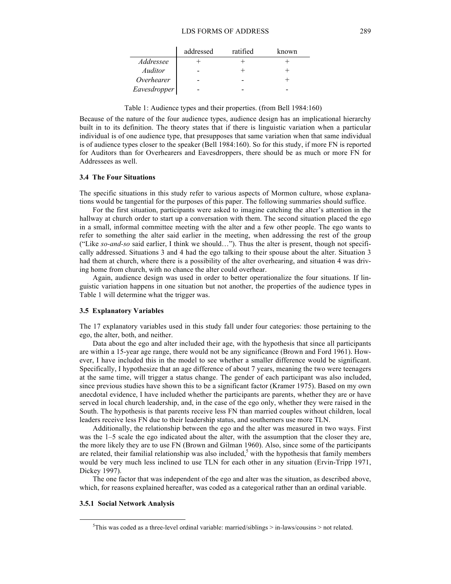|              | addressed | ratified | known |
|--------------|-----------|----------|-------|
| Addressee    |           |          |       |
| Auditor      |           |          |       |
| Overhearer   |           |          |       |
| Eavesdropper |           |          |       |

Table 1: Audience types and their properties. (from Bell 1984:160)

Because of the nature of the four audience types, audience design has an implicational hierarchy built in to its definition. The theory states that if there is linguistic variation when a particular individual is of one audience type, that presupposes that same variation when that same individual is of audience types closer to the speaker (Bell 1984:160). So for this study, if more FN is reported for Auditors than for Overhearers and Eavesdroppers, there should be as much or more FN for Addressees as well.

#### **3.4 The Four Situations**

The specific situations in this study refer to various aspects of Mormon culture, whose explanations would be tangential for the purposes of this paper. The following summaries should suffice.

For the first situation, participants were asked to imagine catching the alter's attention in the hallway at church order to start up a conversation with them. The second situation placed the ego in a small, informal committee meeting with the alter and a few other people. The ego wants to refer to something the alter said earlier in the meeting, when addressing the rest of the group ("Like *so-and-so* said earlier, I think we should…"). Thus the alter is present, though not specifically addressed. Situations 3 and 4 had the ego talking to their spouse about the alter. Situation 3 had them at church, where there is a possibility of the alter overhearing, and situation 4 was driving home from church, with no chance the alter could overhear.

Again, audience design was used in order to better operationalize the four situations. If linguistic variation happens in one situation but not another, the properties of the audience types in Table 1 will determine what the trigger was.

#### **3.5 Explanatory Variables**

The 17 explanatory variables used in this study fall under four categories: those pertaining to the ego, the alter, both, and neither.

Data about the ego and alter included their age, with the hypothesis that since all participants are within a 15-year age range, there would not be any significance (Brown and Ford 1961). However, I have included this in the model to see whether a smaller difference would be significant. Specifically, I hypothesize that an age difference of about 7 years, meaning the two were teenagers at the same time, will trigger a status change. The gender of each participant was also included, since previous studies have shown this to be a significant factor (Kramer 1975). Based on my own anecdotal evidence, I have included whether the participants are parents, whether they are or have served in local church leadership, and, in the case of the ego only, whether they were raised in the South. The hypothesis is that parents receive less FN than married couples without children, local leaders receive less FN due to their leadership status, and southerners use more TLN.

Additionally, the relationship between the ego and the alter was measured in two ways. First was the 1–5 scale the ego indicated about the alter, with the assumption that the closer they are, the more likely they are to use FN (Brown and Gilman 1960). Also, since some of the participants are related, their familial relationship was also included,<sup>5</sup> with the hypothesis that family members would be very much less inclined to use TLN for each other in any situation (Ervin-Tripp 1971, Dickey 1997).

The one factor that was independent of the ego and alter was the situation, as described above, which, for reasons explained hereafter, was coded as a categorical rather than an ordinal variable.

#### **3.5.1 Social Network Analysis**

 $\frac{1}{5}$  ${}^{5}$ This was coded as a three-level ordinal variable: married/siblings > in-laws/cousins > not related.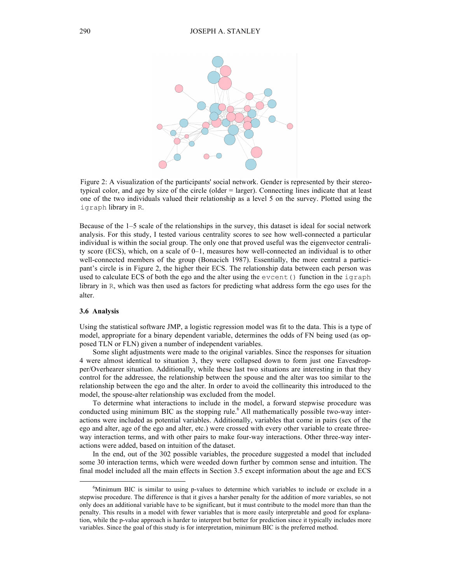

Figure 2: A visualization of the participants' social network. Gender is represented by their stereotypical color, and age by size of the circle (older = larger). Connecting lines indicate that at least one of the two individuals valued their relationship as a level 5 on the survey. Plotted using the igraph library in R.

Because of the 1–5 scale of the relationships in the survey, this dataset is ideal for social network analysis. For this study, I tested various centrality scores to see how well-connected a particular individual is within the social group. The only one that proved useful was the eigenvector centrality score (ECS), which, on a scale of 0–1, measures how well-connected an individual is to other well-connected members of the group (Bonacich 1987). Essentially, the more central a participant's circle is in Figure 2, the higher their ECS. The relationship data between each person was used to calculate ECS of both the ego and the alter using the evcent() function in the igraph library in R, which was then used as factors for predicting what address form the ego uses for the alter.

#### **3.6 Analysis**

Using the statistical software JMP, a logistic regression model was fit to the data. This is a type of model, appropriate for a binary dependent variable, determines the odds of FN being used (as opposed TLN or FLN) given a number of independent variables.

Some slight adjustments were made to the original variables. Since the responses for situation 4 were almost identical to situation 3, they were collapsed down to form just one Eavesdropper/Overhearer situation. Additionally, while these last two situations are interesting in that they control for the addressee, the relationship between the spouse and the alter was too similar to the relationship between the ego and the alter. In order to avoid the collinearity this introduced to the model, the spouse-alter relationship was excluded from the model.

To determine what interactions to include in the model, a forward stepwise procedure was conducted using minimum BIC as the stopping rule. <sup>6</sup> All mathematically possible two-way interactions were included as potential variables. Additionally, variables that come in pairs (sex of the ego and alter, age of the ego and alter, etc.) were crossed with every other variable to create threeway interaction terms, and with other pairs to make four-way interactions. Other three-way interactions were added, based on intuition of the dataset.

In the end, out of the 302 possible variables, the procedure suggested a model that included some 30 interaction terms, which were weeded down further by common sense and intuition. The final model included all the main effects in Section 3.5 except information about the age and ECS

 <sup>6</sup> <sup>6</sup>Minimum BIC is similar to using p-values to determine which variables to include or exclude in a stepwise procedure. The difference is that it gives a harsher penalty for the addition of more variables, so not only does an additional variable have to be significant, but it must contribute to the model more than than the penalty. This results in a model with fewer variables that is more easily interpretable and good for explanation, while the p-value approach is harder to interpret but better for prediction since it typically includes more variables. Since the goal of this study is for interpretation, minimum BIC is the preferred method.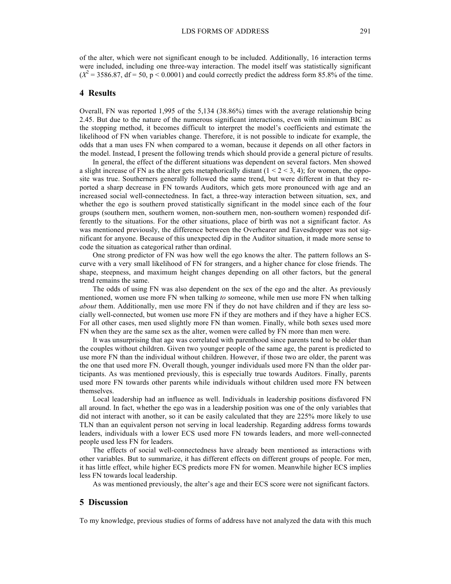of the alter, which were not significant enough to be included. Additionally, 16 interaction terms were included, including one three-way interaction. The model itself was statistically significant  $(X^2 = 3586.87, df = 50, p < 0.0001)$  and could correctly predict the address form 85.8% of the time.

# **4 Results**

Overall, FN was reported 1,995 of the 5,134 (38.86%) times with the average relationship being 2.45. But due to the nature of the numerous significant interactions, even with minimum BIC as the stopping method, it becomes difficult to interpret the model's coefficients and estimate the likelihood of FN when variables change. Therefore, it is not possible to indicate for example, the odds that a man uses FN when compared to a woman, because it depends on all other factors in the model. Instead, I present the following trends which should provide a general picture of results.

In general, the effect of the different situations was dependent on several factors. Men showed a slight increase of FN as the alter gets metaphorically distant  $(1 < 2 < 3, 4)$ ; for women, the opposite was true. Southerners generally followed the same trend, but were different in that they reported a sharp decrease in FN towards Auditors, which gets more pronounced with age and an increased social well-connectedness. In fact, a three-way interaction between situation, sex, and whether the ego is southern proved statistically significant in the model since each of the four groups (southern men, southern women, non-southern men, non-southern women) responded differently to the situations. For the other situations, place of birth was not a significant factor. As was mentioned previously, the difference between the Overhearer and Eavesdropper was not significant for anyone. Because of this unexpected dip in the Auditor situation, it made more sense to code the situation as categorical rather than ordinal.

One strong predictor of FN was how well the ego knows the alter. The pattern follows an Scurve with a very small likelihood of FN for strangers, and a higher chance for close friends. The shape, steepness, and maximum height changes depending on all other factors, but the general trend remains the same.

The odds of using FN was also dependent on the sex of the ego and the alter. As previously mentioned, women use more FN when talking *to* someone, while men use more FN when talking *about* them. Additionally, men use more FN if they do not have children and if they are less socially well-connected, but women use more FN if they are mothers and if they have a higher ECS. For all other cases, men used slightly more FN than women. Finally, while both sexes used more FN when they are the same sex as the alter, women were called by FN more than men were.

It was unsurprising that age was correlated with parenthood since parents tend to be older than the couples without children. Given two younger people of the same age, the parent is predicted to use more FN than the individual without children. However, if those two are older, the parent was the one that used more FN. Overall though, younger individuals used more FN than the older participants. As was mentioned previously, this is especially true towards Auditors. Finally, parents used more FN towards other parents while individuals without children used more FN between themselves.

Local leadership had an influence as well. Individuals in leadership positions disfavored FN all around. In fact, whether the ego was in a leadership position was one of the only variables that did not interact with another, so it can be easily calculated that they are 225% more likely to use TLN than an equivalent person not serving in local leadership. Regarding address forms towards leaders, individuals with a lower ECS used more FN towards leaders, and more well-connected people used less FN for leaders.

The effects of social well-connectedness have already been mentioned as interactions with other variables. But to summarize, it has different effects on different groups of people. For men, it has little effect, while higher ECS predicts more FN for women. Meanwhile higher ECS implies less FN towards local leadership.

As was mentioned previously, the alter's age and their ECS score were not significant factors.

## **5 Discussion**

To my knowledge, previous studies of forms of address have not analyzed the data with this much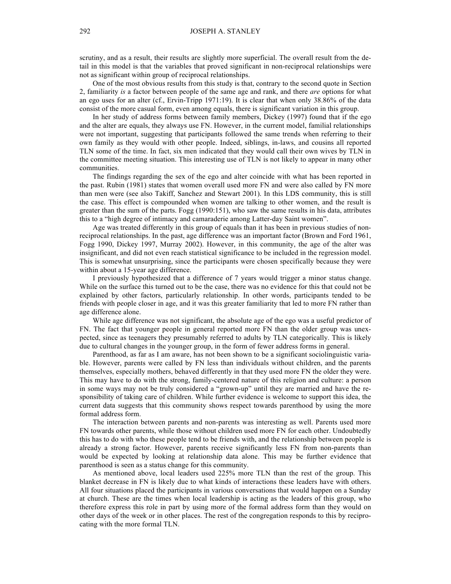scrutiny, and as a result, their results are slightly more superficial. The overall result from the detail in this model is that the variables that proved significant in non-reciprocal relationships were not as significant within group of reciprocal relationships.

One of the most obvious results from this study is that, contrary to the second quote in Section 2, familiarity *is* a factor between people of the same age and rank, and there *are* options for what an ego uses for an alter (cf., Ervin-Tripp 1971:19). It is clear that when only 38.86% of the data consist of the more casual form, even among equals, there is significant variation in this group.

In her study of address forms between family members, Dickey (1997) found that if the ego and the alter are equals, they always use FN. However, in the current model, familial relationships were not important, suggesting that participants followed the same trends when referring to their own family as they would with other people. Indeed, siblings, in-laws, and cousins all reported TLN some of the time. In fact, six men indicated that they would call their own wives by TLN in the committee meeting situation. This interesting use of TLN is not likely to appear in many other communities.

The findings regarding the sex of the ego and alter coincide with what has been reported in the past. Rubin (1981) states that women overall used more FN and were also called by FN more than men were (see also Takiff, Sanchez and Stewart 2001). In this LDS community, this is still the case. This effect is compounded when women are talking to other women, and the result is greater than the sum of the parts. Fogg (1990:151), who saw the same results in his data, attributes this to a "high degree of intimacy and camaraderie among Latter-day Saint women".

Age was treated differently in this group of equals than it has been in previous studies of nonreciprocal relationships. In the past, age difference was an important factor (Brown and Ford 1961, Fogg 1990, Dickey 1997, Murray 2002). However, in this community, the age of the alter was insignificant, and did not even reach statistical significance to be included in the regression model. This is somewhat unsurprising, since the participants were chosen specifically because they were within about a 15-year age difference.

I previously hypothesized that a difference of 7 years would trigger a minor status change. While on the surface this turned out to be the case, there was no evidence for this that could not be explained by other factors, particularly relationship. In other words, participants tended to be friends with people closer in age, and it was this greater familiarity that led to more FN rather than age difference alone.

While age difference was not significant, the absolute age of the ego was a useful predictor of FN. The fact that younger people in general reported more FN than the older group was unexpected, since as teenagers they presumably referred to adults by TLN categorically. This is likely due to cultural changes in the younger group, in the form of fewer address forms in general.

Parenthood, as far as I am aware, has not been shown to be a significant sociolinguistic variable. However, parents were called by FN less than individuals without children, and the parents themselves, especially mothers, behaved differently in that they used more FN the older they were. This may have to do with the strong, family-centered nature of this religion and culture: a person in some ways may not be truly considered a "grown-up" until they are married and have the responsibility of taking care of children. While further evidence is welcome to support this idea, the current data suggests that this community shows respect towards parenthood by using the more formal address form.

The interaction between parents and non-parents was interesting as well. Parents used more FN towards other parents, while those without children used more FN for each other. Undoubtedly this has to do with who these people tend to be friends with, and the relationship between people is already a strong factor. However, parents receive significantly less FN from non-parents than would be expected by looking at relationship data alone. This may be further evidence that parenthood is seen as a status change for this community.

As mentioned above, local leaders used 225% more TLN than the rest of the group. This blanket decrease in FN is likely due to what kinds of interactions these leaders have with others. All four situations placed the participants in various conversations that would happen on a Sunday at church. These are the times when local leadership is acting as the leaders of this group, who therefore express this role in part by using more of the formal address form than they would on other days of the week or in other places. The rest of the congregation responds to this by reciprocating with the more formal TLN.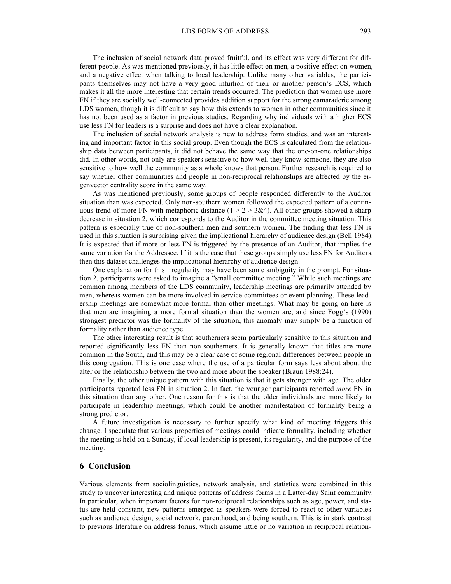The inclusion of social network data proved fruitful, and its effect was very different for different people. As was mentioned previously, it has little effect on men, a positive effect on women, and a negative effect when talking to local leadership. Unlike many other variables, the participants themselves may not have a very good intuition of their or another person's ECS, which makes it all the more interesting that certain trends occurred. The prediction that women use more FN if they are socially well-connected provides addition support for the strong camaraderie among LDS women, though it is difficult to say how this extends to women in other communities since it has not been used as a factor in previous studies. Regarding why individuals with a higher ECS use less FN for leaders is a surprise and does not have a clear explanation.

The inclusion of social network analysis is new to address form studies, and was an interesting and important factor in this social group. Even though the ECS is calculated from the relationship data between participants, it did not behave the same way that the one-on-one relationships did. In other words, not only are speakers sensitive to how well they know someone, they are also sensitive to how well the community as a whole knows that person. Further research is required to say whether other communities and people in non-reciprocal relationships are affected by the eigenvector centrality score in the same way.

As was mentioned previously, some groups of people responded differently to the Auditor situation than was expected. Only non-southern women followed the expected pattern of a continuous trend of more FN with metaphoric distance  $(1 > 2 > 3\&4)$ . All other groups showed a sharp decrease in situation 2, which corresponds to the Auditor in the committee meeting situation. This pattern is especially true of non-southern men and southern women. The finding that less FN is used in this situation is surprising given the implicational hierarchy of audience design (Bell 1984). It is expected that if more or less FN is triggered by the presence of an Auditor, that implies the same variation for the Addressee. If it is the case that these groups simply use less FN for Auditors, then this dataset challenges the implicational hierarchy of audience design.

One explanation for this irregularity may have been some ambiguity in the prompt. For situation 2, participants were asked to imagine a "small committee meeting." While such meetings are common among members of the LDS community, leadership meetings are primarily attended by men, whereas women can be more involved in service committees or event planning. These leadership meetings are somewhat more formal than other meetings. What may be going on here is that men are imagining a more formal situation than the women are, and since Fogg's (1990) strongest predictor was the formality of the situation, this anomaly may simply be a function of formality rather than audience type.

The other interesting result is that southerners seem particularly sensitive to this situation and reported significantly less FN than non-southerners. It is generally known that titles are more common in the South, and this may be a clear case of some regional differences between people in this congregation. This is one case where the use of a particular form says less about about the alter or the relationship between the two and more about the speaker (Braun 1988:24).

Finally, the other unique pattern with this situation is that it gets stronger with age. The older participants reported less FN in situation 2. In fact, the younger participants reported *more* FN in this situation than any other. One reason for this is that the older individuals are more likely to participate in leadership meetings, which could be another manifestation of formality being a strong predictor.

A future investigation is necessary to further specify what kind of meeting triggers this change. I speculate that various properties of meetings could indicate formality, including whether the meeting is held on a Sunday, if local leadership is present, its regularity, and the purpose of the meeting.

# **6 Conclusion**

Various elements from sociolinguistics, network analysis, and statistics were combined in this study to uncover interesting and unique patterns of address forms in a Latter-day Saint community. In particular, when important factors for non-reciprocal relationships such as age, power, and status are held constant, new patterns emerged as speakers were forced to react to other variables such as audience design, social network, parenthood, and being southern. This is in stark contrast to previous literature on address forms, which assume little or no variation in reciprocal relation